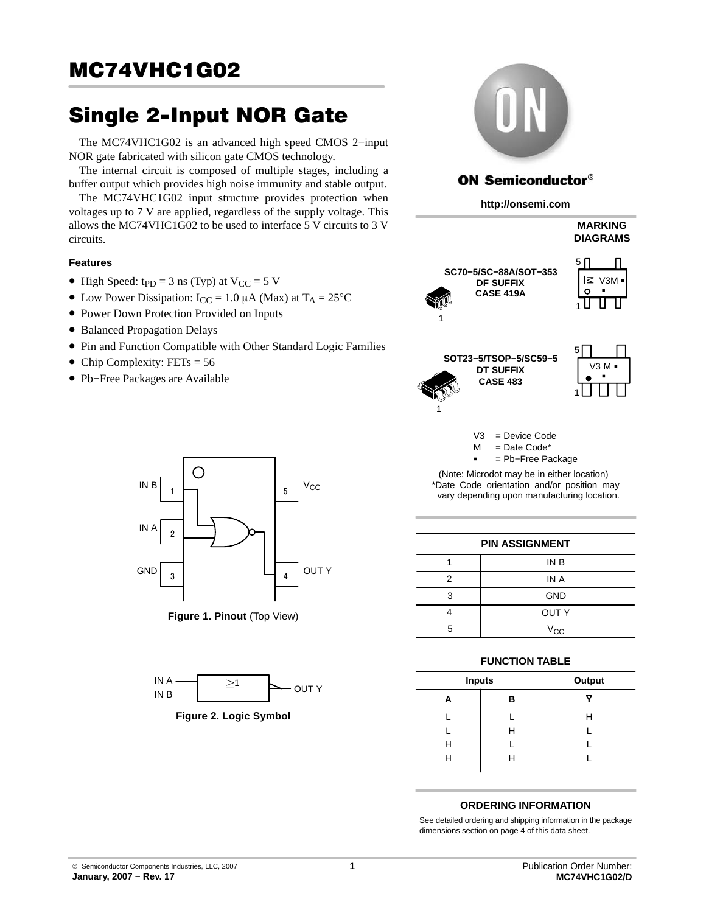# **MC74VHC1G02**  $\frac{1}{\sqrt{2\pi}}$

The MC74VHC1G02 is an advanced high speed CMOS 2–input NOR gate fabricated with silicon gate CMOS technology.

The internal circuit is composed of multiple stages, including a buffer output which provides high noise immunity and stable output.

The MC74VHC1G02 input structure provides protection when voltages up to 7 V are applied, regardless of the supply voltage. This allows the MC74VHC1G02 to be used to interface 5 V circuits to 3 V circuits.

### **Features**

- High Speed:  $tpD = 3$  ns (Typ) at  $V_{CC} = 5$  V
- Low Power Dissipation:  $I_{CC} = 1.0 \mu A$  (Max) at  $T_A = 25^{\circ}C$
- Power Down Protection Provided on Inputs
- Balanced Propagation Delays
- Pin and Function Compatible with Other Standard Logic Families
- Chip Complexity:  $FETs = 56$
- Pb−Free Packages are Available



**Figure 1. Pinout** (Top View)



**Figure 2. Logic Symbol** 



### **ON Semiconductor®**

#### **http://onsemi.com**

|                                                             | <b>MARKING</b><br><b>DIAGRAMS</b> |
|-------------------------------------------------------------|-----------------------------------|
| SC70-5/SC-88A/SOT-353<br>DF SUFFIX<br><b>CASE 419A</b><br>1 | 5<br>౹⋜<br>V3M<br>O               |
| SOT23-5/TSOP-5/SC59-5                                       | 5                                 |



V3 = Device Code

**DT SUFFIX CASE 483**

1

 $M =$  Date Code\*

-= Pb−Free Package

(Note: Microdot may be in either location) \*Date Code orientation and/or position may vary depending upon manufacturing location.

| <b>PIN ASSIGNMENT</b> |                  |  |  |  |  |
|-----------------------|------------------|--|--|--|--|
| IN B                  |                  |  |  |  |  |
| 2                     | IN A             |  |  |  |  |
| 3                     | <b>GND</b>       |  |  |  |  |
|                       | OUT <sub>Y</sub> |  |  |  |  |
| 5                     | $V_{\rm CC}$     |  |  |  |  |
|                       |                  |  |  |  |  |

### **FUNCTION TABLE**

| <b>Inputs</b> |   | Output |
|---------------|---|--------|
| А             | В |        |
|               |   | Н      |
|               | H |        |
| н             |   |        |
| н             | Н |        |

### **ORDERING INFORMATION**

See detailed ordering and shipping information in the package dimensions section on page [4 of this data sheet.](#page-3-0)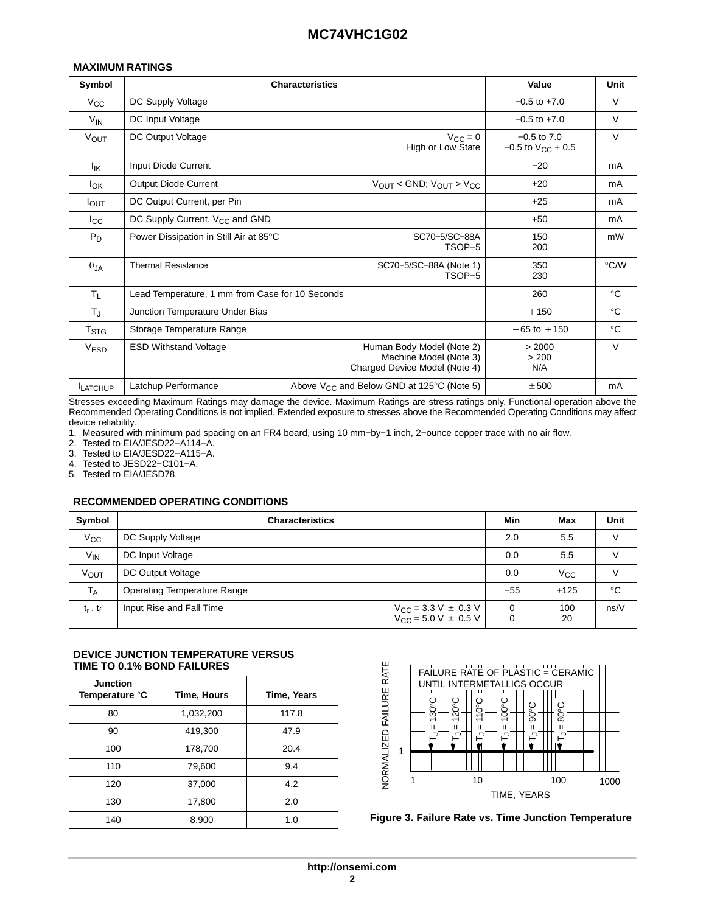### **MAXIMUM RATINGS**

| Symbol                 | <b>Characteristics</b>                          | Value                                                                                | Unit                                            |               |
|------------------------|-------------------------------------------------|--------------------------------------------------------------------------------------|-------------------------------------------------|---------------|
| $V_{\rm CC}$           | DC Supply Voltage                               |                                                                                      | $-0.5$ to $+7.0$                                | $\vee$        |
| $V_{IN}$               | DC Input Voltage                                |                                                                                      | $-0.5$ to $+7.0$                                | V             |
| <b>VOUT</b>            | DC Output Voltage                               | $V_{\rm CC} = 0$<br>High or Low State                                                | $-0.5$ to $7.0$<br>$-0.5$ to $V_{\rm CC}$ + 0.5 | $\vee$        |
| $I_{IK}$               | Input Diode Current                             |                                                                                      | $-20$                                           | mA            |
| <b>I</b> <sub>OK</sub> | <b>Output Diode Current</b>                     | $V_{OUT}$ < GND; $V_{OUT}$ > $V_{CC}$                                                | $+20$                                           | mA            |
| I <sub>OUT</sub>       | DC Output Current, per Pin                      |                                                                                      | $+25$                                           | mA            |
| $I_{\rm CC}$           | DC Supply Current, V <sub>CC</sub> and GND      |                                                                                      | $+50$                                           | mA            |
| $P_D$                  | Power Dissipation in Still Air at 85°C          | SC70-5/SC-88A<br>TSOP-5                                                              | 150<br>200                                      | mW            |
| $\theta_{JA}$          | <b>Thermal Resistance</b>                       | SC70-5/SC-88A (Note 1)<br>TSOP-5                                                     | 350<br>230                                      | $\degree$ C/W |
| $T_L$                  | Lead Temperature, 1 mm from Case for 10 Seconds |                                                                                      | 260                                             | $^{\circ}C$   |
| $T_{\rm J}$            | Junction Temperature Under Bias                 |                                                                                      | $+150$                                          | $^{\circ}C$   |
| T <sub>STG</sub>       | Storage Temperature Range                       |                                                                                      | $-65$ to $+150$                                 | $^{\circ}C$   |
| V <sub>ESD</sub>       | <b>ESD Withstand Voltage</b>                    | Human Body Model (Note 2)<br>Machine Model (Note 3)<br>Charged Device Model (Note 4) | > 2000<br>> 200<br>N/A                          | V             |
| <b>LATCHUP</b>         | Latchup Performance                             | Above $V_{CC}$ and Below GND at 125 $\degree$ C (Note 5)                             | ± 500                                           | mA            |

Stresses exceeding Maximum Ratings may damage the device. Maximum Ratings are stress ratings only. Functional operation above the Recommended Operating Conditions is not implied. Extended exposure to stresses above the Recommended Operating Conditions may affect device reliability.

1. Measured with minimum pad spacing on an FR4 board, using 10 mm−by−1 inch, 2−ounce copper trace with no air flow.

2. Tested to EIA/JESD22−A114−A.

3. Tested to EIA/JESD22−A115−A.

4. Tested to JESD22−C101−A.

5. Tested to EIA/JESD78.

### **RECOMMENDED OPERATING CONDITIONS**

| Symbol        | <b>Characteristics</b>             | Min                                                                 | Max           | Unit      |      |
|---------------|------------------------------------|---------------------------------------------------------------------|---------------|-----------|------|
| $V_{CC}$      | DC Supply Voltage                  |                                                                     | 2.0           | 5.5       |      |
| $V_{IN}$      | DC Input Voltage                   |                                                                     | 0.0           | 5.5       |      |
| <b>VOUT</b>   | DC Output Voltage                  |                                                                     | 0.0           | Vcc       |      |
| $T_A$         | <b>Operating Temperature Range</b> |                                                                     | $-55$         | $+125$    | °C   |
| $t_r$ , $t_f$ | Input Rise and Fall Time           | $V_{CC}$ = 3.3 V $\pm$ 0.3 V<br>V <sub>CC</sub> = 5.0 V $\pm$ 0.5 V | $\Omega$<br>0 | 100<br>20 | ns/V |

### **DEVICE JUNCTION TEMPERATURE VERSUS TIME TO 0.1% BOND FAILURES**

| <b>Junction</b><br>Temperature °C | Time, Hours | Time, Years |
|-----------------------------------|-------------|-------------|
| 80                                | 1,032,200   | 117.8       |
| 90                                | 419,300     | 47.9        |
| 100                               | 178,700     | 20.4        |
| 110                               | 79,600      | 9.4         |
| 120                               | 37,000      | 4.2         |
| 130                               | 17,800      | 2.0         |
| 140                               | 8,900       | 1.0         |



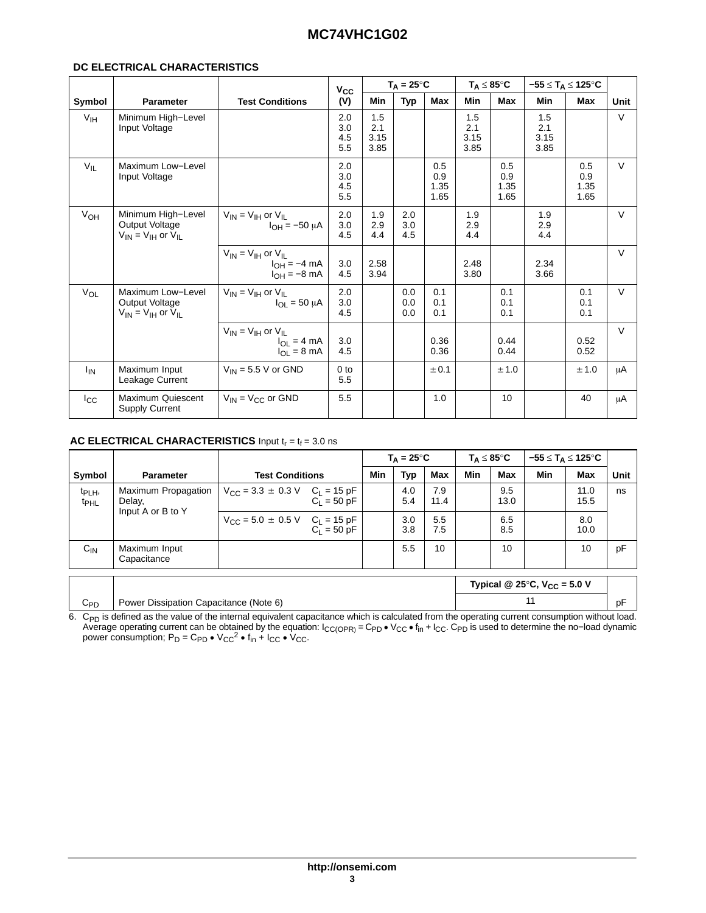### DC ELECTRICAL CHARACTERISTICS

|                       |                                                                         |                                                                             | $V_{\rm CC}$             | $T_A = 25^{\circ}C$        |                   |                            | $T_A \leq 85^{\circ}$ C    |                            | $-55 \leq T_A \leq 125^{\circ}$ C |                            |        |
|-----------------------|-------------------------------------------------------------------------|-----------------------------------------------------------------------------|--------------------------|----------------------------|-------------------|----------------------------|----------------------------|----------------------------|-----------------------------------|----------------------------|--------|
| Symbol                | Parameter                                                               | <b>Test Conditions</b>                                                      | (V)                      | <b>Min</b>                 | Typ               | <b>Max</b>                 | <b>Min</b>                 | <b>Max</b>                 | Min                               | Max                        | Unit   |
| V <sub>IH</sub>       | Minimum High-Level<br>Input Voltage                                     |                                                                             | 2.0<br>3.0<br>4.5<br>5.5 | 1.5<br>2.1<br>3.15<br>3.85 |                   |                            | 1.5<br>2.1<br>3.15<br>3.85 |                            | 1.5<br>2.1<br>3.15<br>3.85        |                            | $\vee$ |
| $V_{IL}$              | Maximum Low-Level<br>Input Voltage                                      |                                                                             | 2.0<br>3.0<br>4.5<br>5.5 |                            |                   | 0.5<br>0.9<br>1.35<br>1.65 |                            | 0.5<br>0.9<br>1.35<br>1.65 |                                   | 0.5<br>0.9<br>1.35<br>1.65 | $\vee$ |
| V <sub>OH</sub>       | Minimum High-Level<br>Output Voltage<br>$V_{IN}$ = $V_{IH}$ or $V_{II}$ | $V_{IN}$ = $V_{IH}$ or $V_{II}$<br>$I_{OH} = -50 \mu A$                     | 2.0<br>3.0<br>4.5        | 1.9<br>2.9<br>4.4          | 2.0<br>3.0<br>4.5 |                            | 1.9<br>2.9<br>4.4          |                            | 1.9<br>2.9<br>4.4                 |                            | $\vee$ |
|                       |                                                                         | $V_{IN} = V_{IH}$ or $V_{IL}$<br>$I_{OH} = -4$ mA<br>$I_{OH} = -8$ mA       | 3.0<br>4.5               | 2.58<br>3.94               |                   |                            | 2.48<br>3.80               |                            | 2.34<br>3.66                      |                            | $\vee$ |
| $V_{OL}$              | Maximum Low-Level<br>Output Voltage<br>$V_{IN} = V_{IH}$ or $V_{IL}$    | $V_{IN} = V_{IH}$ or $V_{II}$<br>$I_{OL}$ = 50 $\mu$ A                      | 2.0<br>3.0<br>4.5        |                            | 0.0<br>0.0<br>0.0 | 0.1<br>0.1<br>0.1          |                            | 0.1<br>0.1<br>0.1          |                                   | 0.1<br>0.1<br>0.1          | $\vee$ |
|                       |                                                                         | $V_{IN} = V_{IH}$ or $V_{IL}$<br>$I_{OL} = 4 mA$<br>$I_{OL} = 8 \text{ mA}$ | 3.0<br>4.5               |                            |                   | 0.36<br>0.36               |                            | 0.44<br>0.44               |                                   | 0.52<br>0.52               | $\vee$ |
| <b>I<sub>IN</sub></b> | Maximum Input<br>Leakage Current                                        | $V_{IN}$ = 5.5 V or GND                                                     | 0 <sub>to</sub><br>5.5   |                            |                   | ± 0.1                      |                            | ± 1.0                      |                                   | ± 1.0                      | μA     |
| $_{\rm lcc}$          | Maximum Quiescent<br><b>Supply Current</b>                              | $V_{IN}$ = $V_{CC}$ or GND                                                  | 5.5                      |                            |                   | 1.0                        |                            | 10                         |                                   | 40                         | μA     |

### AC ELECTRICAL CHARACTERISTICS Input  $t_r = t_f = 3.0$  ns

|                                        |                                                    |                                                                |               |     | $T_A = 25^{\circ}C$ |             |            | $T_\Delta \leq 85^\circ \text{C}$ |     | $-55 \leq T_A \leq 125^{\circ}$ C |      |
|----------------------------------------|----------------------------------------------------|----------------------------------------------------------------|---------------|-----|---------------------|-------------|------------|-----------------------------------|-----|-----------------------------------|------|
| Symbol                                 | <b>Parameter</b>                                   | <b>Test Conditions</b>                                         |               | Min | <b>Typ</b>          | <b>Max</b>  | <b>Min</b> | <b>Max</b>                        | Min | <b>Max</b>                        | Unit |
| t <sub>PLH</sub> ,<br><sup>t</sup> PHL | Maximum Propagation<br>Delay,<br>Input A or B to Y | $V_{\text{CC}} = 3.3 \pm 0.3 \text{ V}$ C <sub>L</sub> = 15 pF | $C_1 = 50$ pF |     | 4.0<br>5.4          | 7.9<br>11.4 |            | 9.5<br>13.0                       |     | 11.0<br>15.5                      | ns   |
|                                        |                                                    | $V_{\text{CC}} = 5.0 \pm 0.5 \text{ V}$ C <sub>L</sub> = 15 pF | $C_1 = 50$ pF |     | 3.0<br>3.8          | 5.5<br>7.5  |            | 6.5<br>8.5                        |     | 8.0<br>10.0                       |      |
| $C_{IN}$                               | Maximum Input<br>Capacitance                       |                                                                |               |     | 5.5                 | 10          |            | 10                                |     | 10                                | pF   |
|                                        | Typical @ 25 $\degree$ C, V <sub>CC</sub> = 5.0 V  |                                                                |               |     |                     |             |            |                                   |     |                                   |      |
| $C_{PD}$                               | Power Dissipation Capacitance (Note 6)             |                                                                |               |     |                     |             |            |                                   | 11  |                                   | pF   |

6. C<sub>PD</sub> is defined as the value of the internal equivalent capacitance which is calculated from the operating current consumption without load.<br>Average operating current can be obtained by the equation:  $I_{CC(OPR)} = C_{PD} \cdot V_{CC$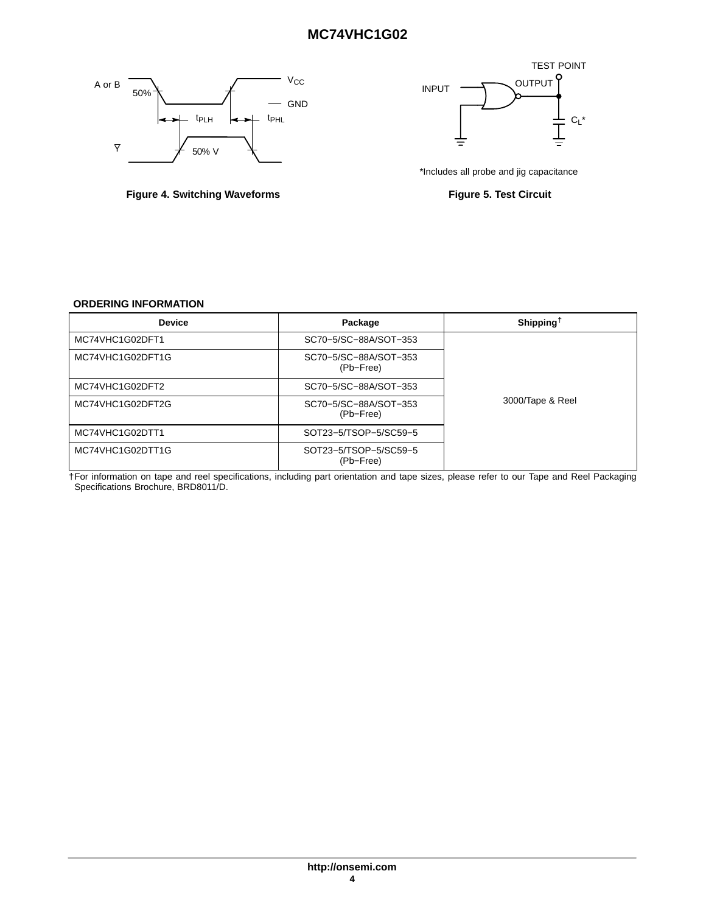<span id="page-3-0"></span>



Figure 4. Switching Waveforms **Figure 4. Switching Waveforms** Figure 5. Test Circuit



### **ORDERING INFORMATION**

| <b>Device</b>    | Package                            | Shipping <sup><math>\dagger</math></sup> |
|------------------|------------------------------------|------------------------------------------|
| MC74VHC1G02DFT1  | SC70-5/SC-88A/SOT-353              |                                          |
| MC74VHC1G02DFT1G | SC70-5/SC-88A/SOT-353<br>(Pb-Free) |                                          |
| MC74VHC1G02DFT2  | SC70-5/SC-88A/SOT-353              |                                          |
| MC74VHC1G02DFT2G | SC70-5/SC-88A/SOT-353<br>(Pb-Free) | 3000/Tape & Reel                         |
| MC74VHC1G02DTT1  | SOT23-5/TSOP-5/SC59-5              |                                          |
| MC74VHC1G02DTT1G | SOT23-5/TSOP-5/SC59-5<br>(Pb-Free) |                                          |

†For information on tape and reel specifications, including part orientation and tape sizes, please refer to our Tape and Reel Packaging Specifications Brochure, BRD8011/D.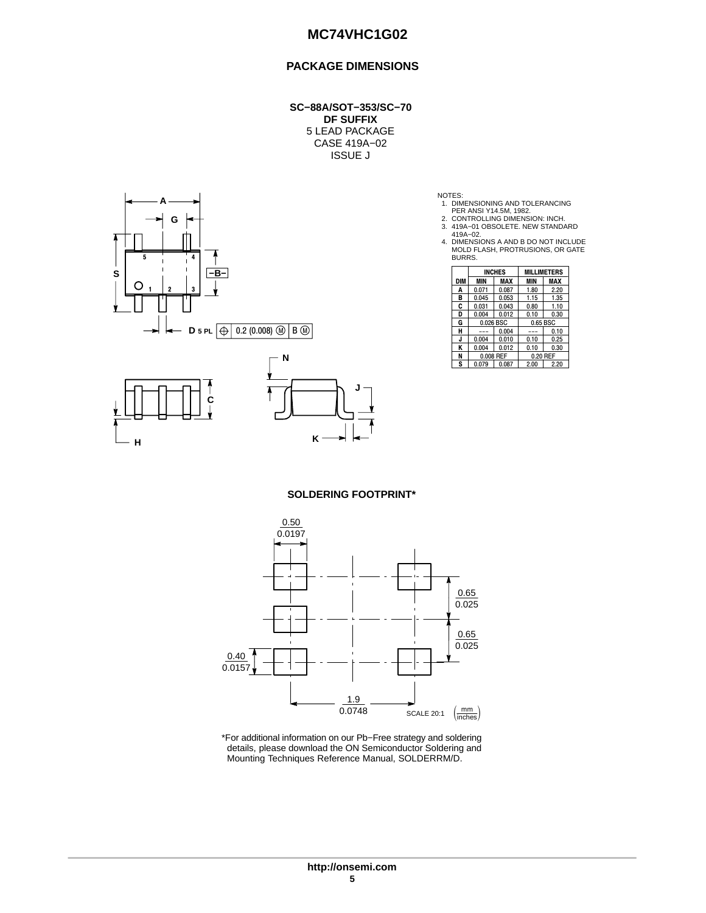### **PACKAGE DIMENSIONS**

**SC−88A/SOT−353/SC−70 DF SUFFIX** 5 LEAD PACKAGE CASE 419A−02 ISSUE J



- 
- 
- NOTES:<br>
1. DIMENSIONING AND TOLERANCING<br>
2. CONTROLLING DIMENSION: INCH.<br>
3. 419A−02.<br>
419A−02.<br>
4. DIMENSIONS A AND B DO NOT INCLUDE<br>
MOLD FLASH, PROTRUSIONS, OR GATE<br>
BURRS.

|            |            | <b>INCHES</b> |          | <b>MILLIMETERS</b> |  |
|------------|------------|---------------|----------|--------------------|--|
| <b>DIM</b> | <b>MIN</b> | MAX           | MIN      | MAX                |  |
| A          | 0.071      | 0.087         | 1.80     | 2.20               |  |
| в          | 0.045      | 0.053         | 1.15     | 1.35               |  |
| C          | 0.031      | 0.043         | 0.80     | 1.10               |  |
| D          | 0.004      | 0.012         | 0.10     | 0.30               |  |
| G          |            | 0.026 BSC     | 0.65 BSC |                    |  |
| н          |            | 0.004         |          | 0.10               |  |
| J          | 0.004      | 0.010         | 0.10     | 0.25               |  |
| ĸ          | 0.004      | 0.012         | 0.10     | 0.30               |  |
| N          |            | 0.008 REF     |          | 0.20 REF           |  |
| S          | 0.079      | 0.087         | 2.00     | 2.20               |  |

**SOLDERING FOOTPRINT\***



\*For additional information on our Pb−Free strategy and soldering details, please download the ON Semiconductor Soldering and Mounting Techniques Reference Manual, SOLDERRM/D.